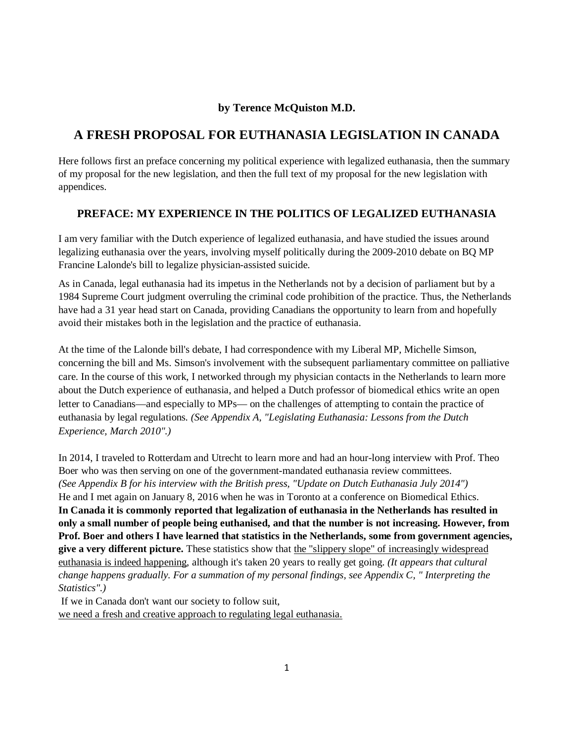## **by Terence McQuiston M.D.**

## **A FRESH PROPOSAL FOR EUTHANASIA LEGISLATION IN CANADA**

Here follows first an preface concerning my political experience with legalized euthanasia, then the summary of my proposal for the new legislation, and then the full text of my proposal for the new legislation with appendices.

### **PREFACE: MY EXPERIENCE IN THE POLITICS OF LEGALIZED EUTHANASIA**

I am very familiar with the Dutch experience of legalized euthanasia, and have studied the issues around legalizing euthanasia over the years, involving myself politically during the 2009-2010 debate on BQ MP Francine Lalonde's bill to legalize physician-assisted suicide.

As in Canada, legal euthanasia had its impetus in the Netherlands not by a decision of parliament but by a 1984 Supreme Court judgment overruling the criminal code prohibition of the practice. Thus, the Netherlands have had a 31 year head start on Canada, providing Canadians the opportunity to learn from and hopefully avoid their mistakes both in the legislation and the practice of euthanasia.

At the time of the Lalonde bill's debate, I had correspondence with my Liberal MP, Michelle Simson, concerning the bill and Ms. Simson's involvement with the subsequent parliamentary committee on palliative care. In the course of this work, I networked through my physician contacts in the Netherlands to learn more about the Dutch experience of euthanasia, and helped a Dutch professor of biomedical ethics write an open letter to Canadians—and especially to MPs— on the challenges of attempting to contain the practice of euthanasia by legal regulations*. (See Appendix A, "Legislating Euthanasia: Lessons from the Dutch Experience, March 2010".)*

In 2014, I traveled to Rotterdam and Utrecht to learn more and had an hour-long interview with Prof. Theo Boer who was then serving on one of the government-mandated euthanasia review committees. *(See Appendix B for his interview with the British press, "Update on Dutch Euthanasia July 2014")*  He and I met again on January 8, 2016 when he was in Toronto at a conference on Biomedical Ethics. **In Canada it is commonly reported that legalization of euthanasia in the Netherlands has resulted in only a small number of people being euthanised, and that the number is not increasing. However, from Prof. Boer and others I have learned that statistics in the Netherlands, some from government agencies, give a very different picture.** These statistics show that the "slippery slope" of increasingly widespread euthanasia is indeed happening, although it's taken 20 years to really get going. *(It appears that cultural change happens gradually. For a summation of my personal findings, see Appendix C, " Interpreting the Statistics".)*

If we in Canada don't want our society to follow suit,

we need a fresh and creative approach to regulating legal euthanasia.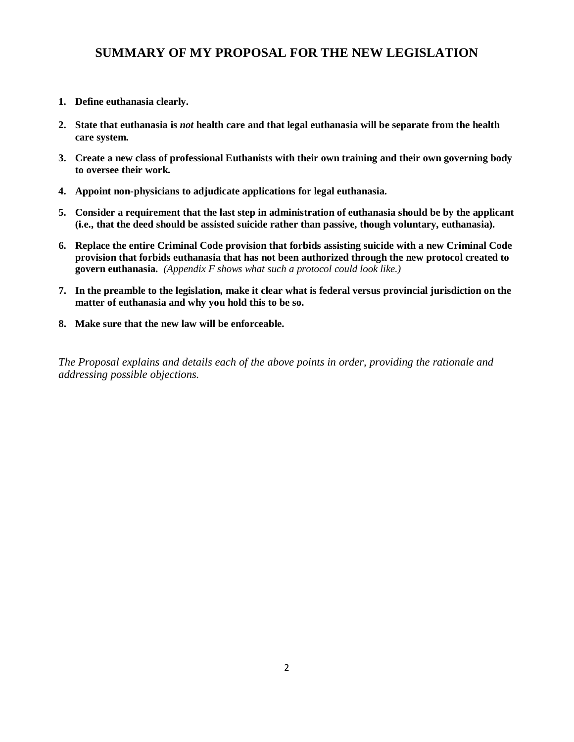# **SUMMARY OF MY PROPOSAL FOR THE NEW LEGISLATION**

- **1. Define euthanasia clearly.**
- **2. State that euthanasia is** *not* **health care and that legal euthanasia will be separate from the health care system.**
- **3. Create a new class of professional Euthanists with their own training and their own governing body to oversee their work.**
- **4. Appoint non-physicians to adjudicate applications for legal euthanasia.**
- **5. Consider a requirement that the last step in administration of euthanasia should be by the applicant (i.e., that the deed should be assisted suicide rather than passive, though voluntary, euthanasia).**
- **6. Replace the entire Criminal Code provision that forbids assisting suicide with a new Criminal Code provision that forbids euthanasia that has not been authorized through the new protocol created to govern euthanasia.** *(Appendix F shows what such a protocol could look like.)*
- **7. In the preamble to the legislation, make it clear what is federal versus provincial jurisdiction on the matter of euthanasia and why you hold this to be so.**
- **8. Make sure that the new law will be enforceable.**

*The Proposal explains and details each of the above points in order, providing the rationale and addressing possible objections.*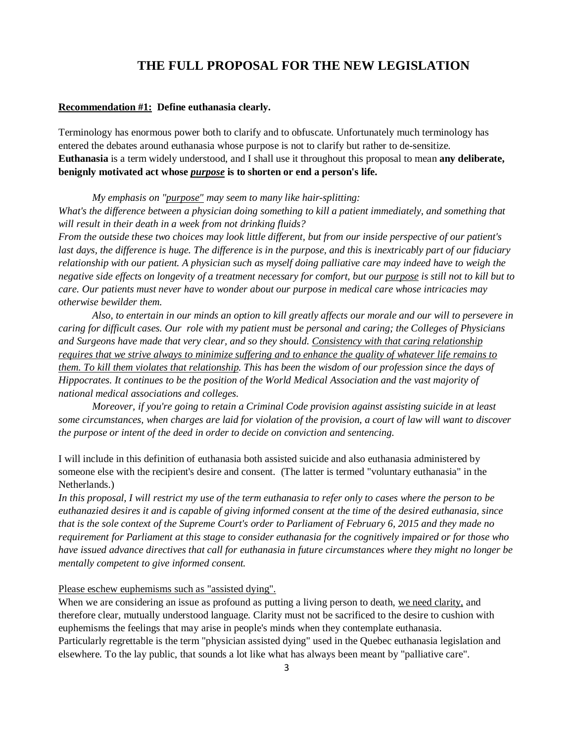## **THE FULL PROPOSAL FOR THE NEW LEGISLATION**

### **Recommendation #1: Define euthanasia clearly.**

Terminology has enormous power both to clarify and to obfuscate. Unfortunately much terminology has entered the debates around euthanasia whose purpose is not to clarify but rather to de-sensitize. **Euthanasia** is a term widely understood, and I shall use it throughout this proposal to mean **any deliberate, benignly motivated act whose** *purpose* **is to shorten or end a person's life.**

*My emphasis on "purpose" may seem to many like hair-splitting:* 

What's the difference between a physician doing something to kill a patient immediately, and something that *will result in their death in a week from not drinking fluids?* 

*From the outside these two choices may look little different, but from our inside perspective of our patient's last days, the difference is huge. The difference is in the purpose, and this is inextricably part of our fiduciary relationship with our patient. A physician such as myself doing palliative care may indeed have to weigh the negative side effects on longevity of a treatment necessary for comfort, but our purpose is still not to kill but to care. Our patients must never have to wonder about our purpose in medical care whose intricacies may otherwise bewilder them.* 

*Also, to entertain in our minds an option to kill greatly affects our morale and our will to persevere in caring for difficult cases. Our role with my patient must be personal and caring; the Colleges of Physicians and Surgeons have made that very clear, and so they should. Consistency with that caring relationship requires that we strive always to minimize suffering and to enhance the quality of whatever life remains to them. To kill them violates that relationship. This has been the wisdom of our profession since the days of Hippocrates. It continues to be the position of the World Medical Association and the vast majority of national medical associations and colleges.* 

*Moreover, if you're going to retain a Criminal Code provision against assisting suicide in at least some circumstances, when charges are laid for violation of the provision, a court of law will want to discover the purpose or intent of the deed in order to decide on conviction and sentencing.* 

I will include in this definition of euthanasia both assisted suicide and also euthanasia administered by someone else with the recipient's desire and consent. (The latter is termed "voluntary euthanasia" in the Netherlands.)

*In this proposal, I will restrict my use of the term euthanasia to refer only to cases where the person to be euthanazied desires it and is capable of giving informed consent at the time of the desired euthanasia, since that is the sole context of the Supreme Court's order to Parliament of February 6, 2015 and they made no requirement for Parliament at this stage to consider euthanasia for the cognitively impaired or for those who have issued advance directives that call for euthanasia in future circumstances where they might no longer be mentally competent to give informed consent.*

### Please eschew euphemisms such as "assisted dying".

When we are considering an issue as profound as putting a living person to death, we need clarity, and therefore clear, mutually understood language. Clarity must not be sacrificed to the desire to cushion with euphemisms the feelings that may arise in people's minds when they contemplate euthanasia. Particularly regrettable is the term "physician assisted dying" used in the Quebec euthanasia legislation and elsewhere. To the lay public, that sounds a lot like what has always been meant by "palliative care".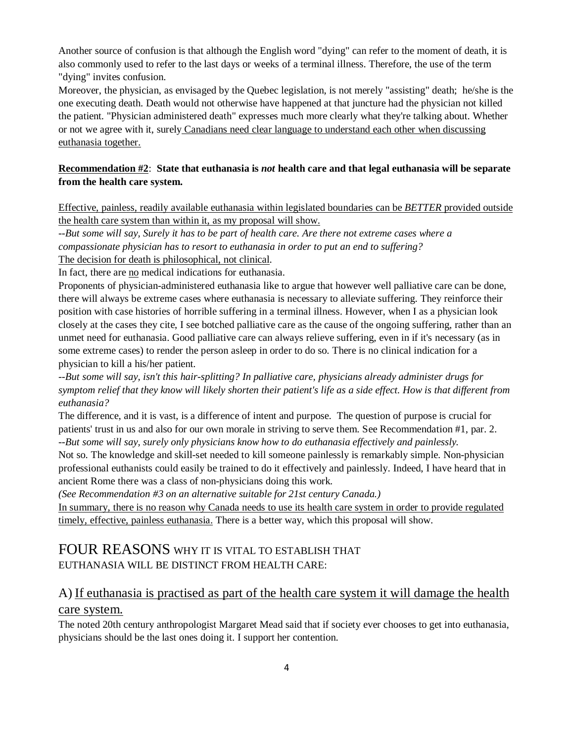Another source of confusion is that although the English word "dying" can refer to the moment of death, it is also commonly used to refer to the last days or weeks of a terminal illness. Therefore, the use of the term "dying" invites confusion.

Moreover, the physician, as envisaged by the Quebec legislation, is not merely "assisting" death; he/she is the one executing death. Death would not otherwise have happened at that juncture had the physician not killed the patient. "Physician administered death" expresses much more clearly what they're talking about. Whether or not we agree with it, surely Canadians need clear language to understand each other when discussing euthanasia together.

### **Recommendation #2**: **State that euthanasia is** *not* **health care and that legal euthanasia will be separate from the health care system.**

Effective, painless, readily available euthanasia within legislated boundaries can be *BETTER* provided outside the health care system than within it, as my proposal will show.

*--But some will say, Surely it has to be part of health care. Are there not extreme cases where a compassionate physician has to resort to euthanasia in order to put an end to suffering?*

The decision for death is philosophical, not clinical.

In fact, there are no medical indications for euthanasia.

Proponents of physician-administered euthanasia like to argue that however well palliative care can be done, there will always be extreme cases where euthanasia is necessary to alleviate suffering. They reinforce their position with case histories of horrible suffering in a terminal illness. However, when I as a physician look closely at the cases they cite, I see botched palliative care as the cause of the ongoing suffering, rather than an unmet need for euthanasia. Good palliative care can always relieve suffering, even in if it's necessary (as in some extreme cases) to render the person asleep in order to do so. There is no clinical indication for a physician to kill a his/her patient.

*--But some will say, isn't this hair-splitting? In palliative care, physicians already administer drugs for symptom relief that they know will likely shorten their patient's life as a side effect. How is that different from euthanasia?*

The difference, and it is vast, is a difference of intent and purpose. The question of purpose is crucial for patients' trust in us and also for our own morale in striving to serve them. See Recommendation #1, par. 2. *--But some will say, surely only physicians know how to do euthanasia effectively and painlessly.*

Not so. The knowledge and skill-set needed to kill someone painlessly is remarkably simple. Non-physician professional euthanists could easily be trained to do it effectively and painlessly. Indeed, I have heard that in ancient Rome there was a class of non-physicians doing this work.

*(See Recommendation #3 on an alternative suitable for 21st century Canada.)*

In summary, there is no reason why Canada needs to use its health care system in order to provide regulated timely, effective, painless euthanasia. There is a better way, which this proposal will show.

## FOUR REASONS WHY IT IS VITAL TO ESTABLISH THAT EUTHANASIA WILL BE DISTINCT FROM HEALTH CARE:

# A) If euthanasia is practised as part of the health care system it will damage the health care system.

The noted 20th century anthropologist Margaret Mead said that if society ever chooses to get into euthanasia, physicians should be the last ones doing it. I support her contention.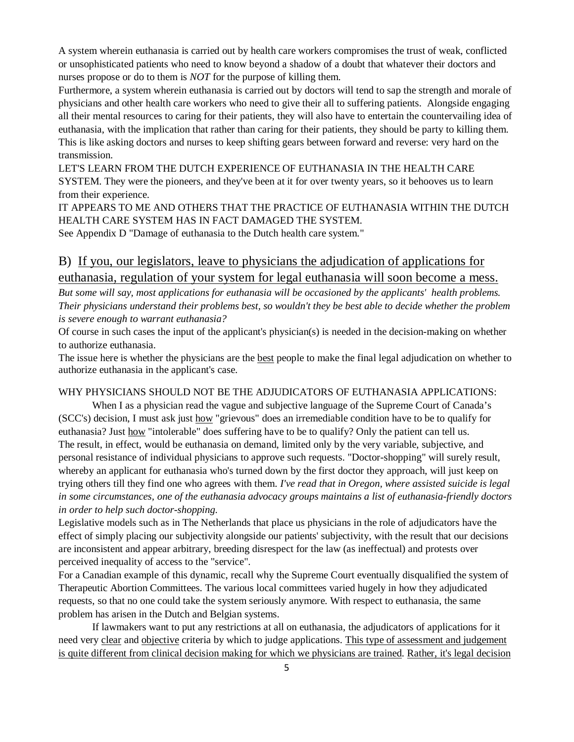A system wherein euthanasia is carried out by health care workers compromises the trust of weak, conflicted or unsophisticated patients who need to know beyond a shadow of a doubt that whatever their doctors and nurses propose or do to them is *NOT* for the purpose of killing them.

Furthermore, a system wherein euthanasia is carried out by doctors will tend to sap the strength and morale of physicians and other health care workers who need to give their all to suffering patients. Alongside engaging all their mental resources to caring for their patients, they will also have to entertain the countervailing idea of euthanasia, with the implication that rather than caring for their patients, they should be party to killing them. This is like asking doctors and nurses to keep shifting gears between forward and reverse: very hard on the transmission.

LET'S LEARN FROM THE DUTCH EXPERIENCE OF EUTHANASIA IN THE HEALTH CARE SYSTEM. They were the pioneers, and they've been at it for over twenty years, so it behooves us to learn from their experience.

IT APPEARS TO ME AND OTHERS THAT THE PRACTICE OF EUTHANASIA WITHIN THE DUTCH HEALTH CARE SYSTEM HAS IN FACT DAMAGED THE SYSTEM.

See Appendix D "Damage of euthanasia to the Dutch health care system."

# B) If you, our legislators, leave to physicians the adjudication of applications for euthanasia, regulation of your system for legal euthanasia will soon become a mess.

*But some will say, most applications for euthanasia will be occasioned by the applicants' health problems. Their physicians understand their problems best, so wouldn't they be best able to decide whether the problem is severe enough to warrant euthanasia?*

Of course in such cases the input of the applicant's physician(s) is needed in the decision-making on whether to authorize euthanasia.

The issue here is whether the physicians are the best people to make the final legal adjudication on whether to authorize euthanasia in the applicant's case.

### WHY PHYSICIANS SHOULD NOT BE THE ADJUDICATORS OF EUTHANASIA APPLICATIONS:

When I as a physician read the vague and subjective language of the Supreme Court of Canada's (SCC's) decision, I must ask just how "grievous" does an irremediable condition have to be to qualify for euthanasia? Just how "intolerable" does suffering have to be to qualify? Only the patient can tell us. The result, in effect, would be euthanasia on demand, limited only by the very variable, subjective, and personal resistance of individual physicians to approve such requests. "Doctor-shopping" will surely result, whereby an applicant for euthanasia who's turned down by the first doctor they approach, will just keep on trying others till they find one who agrees with them. *I've read that in Oregon, where assisted suicide is legal in some circumstances, one of the euthanasia advocacy groups maintains a list of euthanasia-friendly doctors in order to help such doctor-shopping.*

Legislative models such as in The Netherlands that place us physicians in the role of adjudicators have the effect of simply placing our subjectivity alongside our patients' subjectivity, with the result that our decisions are inconsistent and appear arbitrary, breeding disrespect for the law (as ineffectual) and protests over perceived inequality of access to the "service".

For a Canadian example of this dynamic, recall why the Supreme Court eventually disqualified the system of Therapeutic Abortion Committees. The various local committees varied hugely in how they adjudicated requests, so that no one could take the system seriously anymore. With respect to euthanasia, the same problem has arisen in the Dutch and Belgian systems.

If lawmakers want to put any restrictions at all on euthanasia, the adjudicators of applications for it need very clear and objective criteria by which to judge applications. This type of assessment and judgement is quite different from clinical decision making for which we physicians are trained. Rather, it's legal decision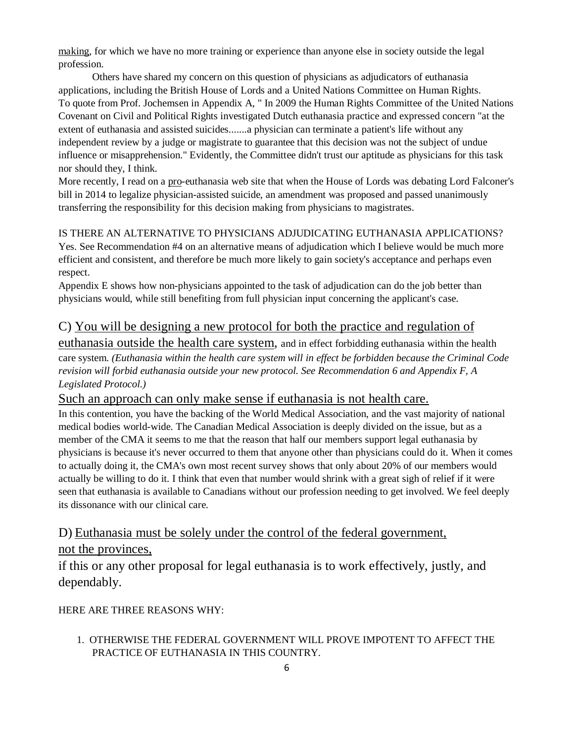making, for which we have no more training or experience than anyone else in society outside the legal profession.

Others have shared my concern on this question of physicians as adjudicators of euthanasia applications, including the British House of Lords and a United Nations Committee on Human Rights. To quote from Prof. Jochemsen in Appendix A, " In 2009 the Human Rights Committee of the United Nations Covenant on Civil and Political Rights investigated Dutch euthanasia practice and expressed concern "at the extent of euthanasia and assisted suicides.......a physician can terminate a patient's life without any independent review by a judge or magistrate to guarantee that this decision was not the subject of undue influence or misapprehension." Evidently, the Committee didn't trust our aptitude as physicians for this task nor should they, I think.

More recently, I read on a pro-euthanasia web site that when the House of Lords was debating Lord Falconer's bill in 2014 to legalize physician-assisted suicide, an amendment was proposed and passed unanimously transferring the responsibility for this decision making from physicians to magistrates.

# IS THERE AN ALTERNATIVE TO PHYSICIANS ADJUDICATING EUTHANASIA APPLICATIONS?

Yes. See Recommendation #4 on an alternative means of adjudication which I believe would be much more efficient and consistent, and therefore be much more likely to gain society's acceptance and perhaps even respect.

Appendix E shows how non-physicians appointed to the task of adjudication can do the job better than physicians would, while still benefiting from full physician input concerning the applicant's case.

## C) You will be designing a new protocol for both the practice and regulation of

euthanasia outside the health care system, and in effect forbidding euthanasia within the health care system. *(Euthanasia within the health care system will in effect be forbidden because the Criminal Code revision will forbid euthanasia outside your new protocol. See Recommendation 6 and Appendix F, A Legislated Protocol.)*

## Such an approach can only make sense if euthanasia is not health care.

In this contention, you have the backing of the World Medical Association, and the vast majority of national medical bodies world-wide. The Canadian Medical Association is deeply divided on the issue, but as a member of the CMA it seems to me that the reason that half our members support legal euthanasia by physicians is because it's never occurred to them that anyone other than physicians could do it. When it comes to actually doing it, the CMA's own most recent survey shows that only about 20% of our members would actually be willing to do it. I think that even that number would shrink with a great sigh of relief if it were seen that euthanasia is available to Canadians without our profession needing to get involved. We feel deeply its dissonance with our clinical care.

# D) Euthanasia must be solely under the control of the federal government,

## not the provinces,

if this or any other proposal for legal euthanasia is to work effectively, justly, and dependably.

HERE ARE THREE REASONS WHY:

 1. OTHERWISE THE FEDERAL GOVERNMENT WILL PROVE IMPOTENT TO AFFECT THE PRACTICE OF EUTHANASIA IN THIS COUNTRY.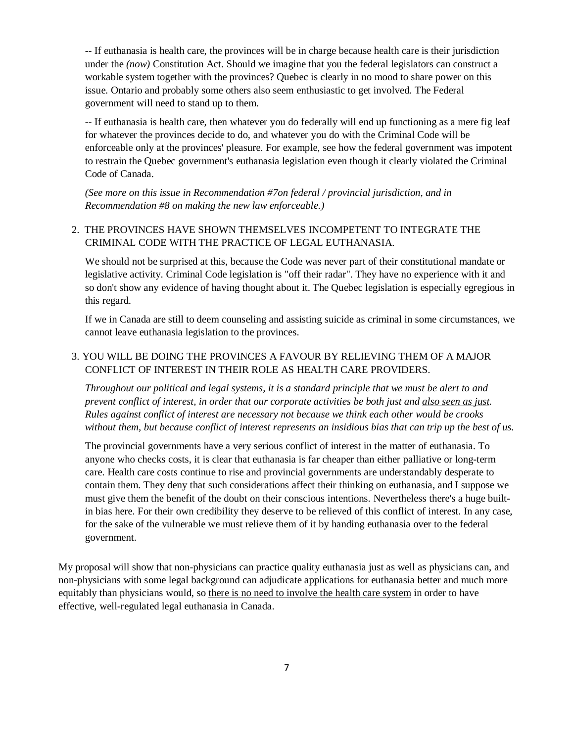-- If euthanasia is health care, the provinces will be in charge because health care is their jurisdiction under the *(now)* Constitution Act. Should we imagine that you the federal legislators can construct a workable system together with the provinces? Quebec is clearly in no mood to share power on this issue. Ontario and probably some others also seem enthusiastic to get involved. The Federal government will need to stand up to them.

-- If euthanasia is health care, then whatever you do federally will end up functioning as a mere fig leaf for whatever the provinces decide to do, and whatever you do with the Criminal Code will be enforceable only at the provinces' pleasure. For example, see how the federal government was impotent to restrain the Quebec government's euthanasia legislation even though it clearly violated the Criminal Code of Canada.

*(See more on this issue in Recommendation #7on federal / provincial jurisdiction, and in Recommendation #8 on making the new law enforceable.)*

### 2. THE PROVINCES HAVE SHOWN THEMSELVES INCOMPETENT TO INTEGRATE THE CRIMINAL CODE WITH THE PRACTICE OF LEGAL EUTHANASIA.

We should not be surprised at this, because the Code was never part of their constitutional mandate or legislative activity. Criminal Code legislation is "off their radar". They have no experience with it and so don't show any evidence of having thought about it. The Quebec legislation is especially egregious in this regard.

If we in Canada are still to deem counseling and assisting suicide as criminal in some circumstances, we cannot leave euthanasia legislation to the provinces.

### 3. YOU WILL BE DOING THE PROVINCES A FAVOUR BY RELIEVING THEM OF A MAJOR CONFLICT OF INTEREST IN THEIR ROLE AS HEALTH CARE PROVIDERS.

*Throughout our political and legal systems, it is a standard principle that we must be alert to and prevent conflict of interest, in order that our corporate activities be both just and also seen as just. Rules against conflict of interest are necessary not because we think each other would be crooks without them, but because conflict of interest represents an insidious bias that can trip up the best of us.*

The provincial governments have a very serious conflict of interest in the matter of euthanasia. To anyone who checks costs, it is clear that euthanasia is far cheaper than either palliative or long-term care. Health care costs continue to rise and provincial governments are understandably desperate to contain them. They deny that such considerations affect their thinking on euthanasia, and I suppose we must give them the benefit of the doubt on their conscious intentions. Nevertheless there's a huge builtin bias here. For their own credibility they deserve to be relieved of this conflict of interest. In any case, for the sake of the vulnerable we must relieve them of it by handing euthanasia over to the federal government.

My proposal will show that non-physicians can practice quality euthanasia just as well as physicians can, and non-physicians with some legal background can adjudicate applications for euthanasia better and much more equitably than physicians would, so there is no need to involve the health care system in order to have effective, well-regulated legal euthanasia in Canada.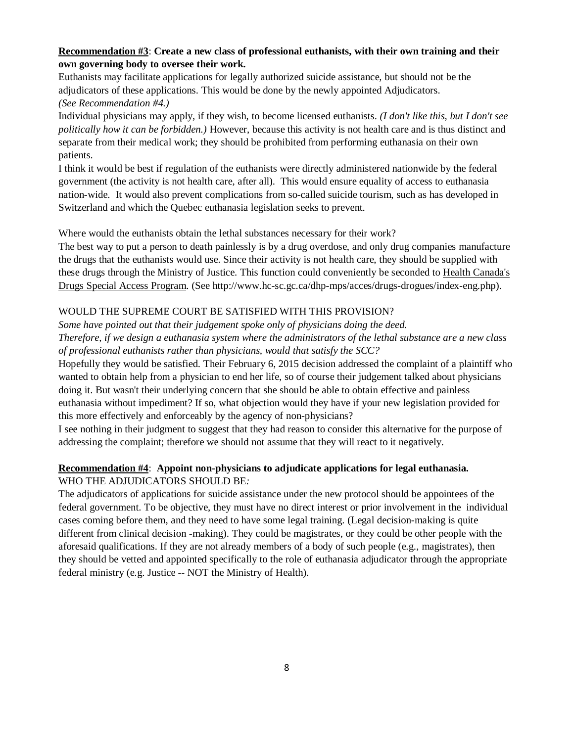### **Recommendation #3**: **Create a new class of professional euthanists, with their own training and their own governing body to oversee their work.**

Euthanists may facilitate applications for legally authorized suicide assistance, but should not be the adjudicators of these applications. This would be done by the newly appointed Adjudicators. *(See Recommendation #4.)*

Individual physicians may apply, if they wish, to become licensed euthanists. *(I don't like this, but I don't see politically how it can be forbidden.)* However, because this activity is not health care and is thus distinct and separate from their medical work; they should be prohibited from performing euthanasia on their own patients.

I think it would be best if regulation of the euthanists were directly administered nationwide by the federal government (the activity is not health care, after all). This would ensure equality of access to euthanasia nation-wide. It would also prevent complications from so-called suicide tourism, such as has developed in Switzerland and which the Quebec euthanasia legislation seeks to prevent.

Where would the euthanists obtain the lethal substances necessary for their work?

The best way to put a person to death painlessly is by a drug overdose, and only drug companies manufacture the drugs that the euthanists would use. Since their activity is not health care, they should be supplied with these drugs through the Ministry of Justice. This function could conveniently be seconded to Health Canada's Drugs Special Access Program. (See http://www.hc-sc.gc.ca/dhp-mps/acces/drugs-drogues/index-eng.php).

### WOULD THE SUPREME COURT BE SATISFIED WITH THIS PROVISION?

*Some have pointed out that their judgement spoke only of physicians doing the deed. Therefore, if we design a euthanasia system where the administrators of the lethal substance are a new class of professional euthanists rather than physicians, would that satisfy the SCC?* 

Hopefully they would be satisfied. Their February 6, 2015 decision addressed the complaint of a plaintiff who wanted to obtain help from a physician to end her life, so of course their judgement talked about physicians doing it. But wasn't their underlying concern that she should be able to obtain effective and painless euthanasia without impediment? If so, what objection would they have if your new legislation provided for this more effectively and enforceably by the agency of non-physicians?

I see nothing in their judgment to suggest that they had reason to consider this alternative for the purpose of addressing the complaint; therefore we should not assume that they will react to it negatively.

### **Recommendation #4**: **Appoint non-physicians to adjudicate applications for legal euthanasia.** WHO THE ADJUDICATORS SHOULD BE*:*

The adjudicators of applications for suicide assistance under the new protocol should be appointees of the federal government. To be objective, they must have no direct interest or prior involvement in the individual cases coming before them, and they need to have some legal training. (Legal decision-making is quite different from clinical decision -making). They could be magistrates, or they could be other people with the aforesaid qualifications. If they are not already members of a body of such people (e.g., magistrates), then they should be vetted and appointed specifically to the role of euthanasia adjudicator through the appropriate federal ministry (e.g. Justice *--* NOT the Ministry of Health).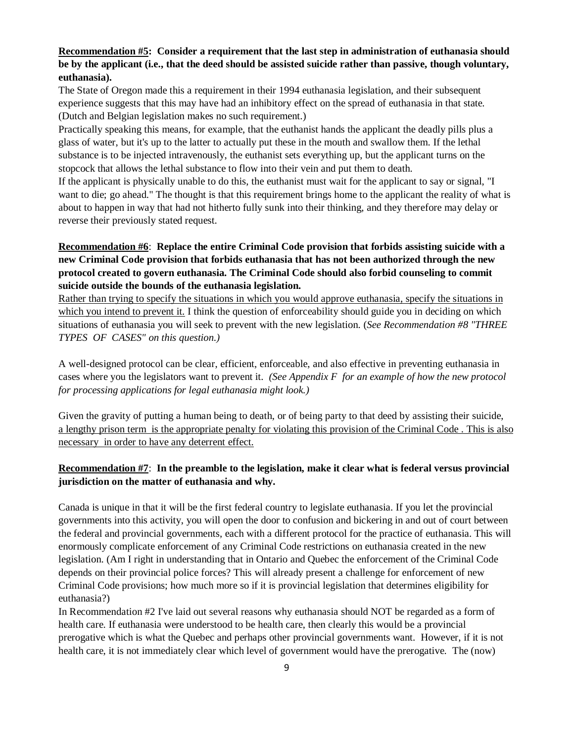### **Recommendation #5: Consider a requirement that the last step in administration of euthanasia should be by the applicant (i.e., that the deed should be assisted suicide rather than passive, though voluntary, euthanasia).**

The State of Oregon made this a requirement in their 1994 euthanasia legislation, and their subsequent experience suggests that this may have had an inhibitory effect on the spread of euthanasia in that state. (Dutch and Belgian legislation makes no such requirement.)

Practically speaking this means, for example, that the euthanist hands the applicant the deadly pills plus a glass of water, but it's up to the latter to actually put these in the mouth and swallow them. If the lethal substance is to be injected intravenously, the euthanist sets everything up, but the applicant turns on the stopcock that allows the lethal substance to flow into their vein and put them to death.

If the applicant is physically unable to do this, the euthanist must wait for the applicant to say or signal, "I want to die; go ahead." The thought is that this requirement brings home to the applicant the reality of what is about to happen in way that had not hitherto fully sunk into their thinking, and they therefore may delay or reverse their previously stated request.

### **Recommendation #6**: **Replace the entire Criminal Code provision that forbids assisting suicide with a new Criminal Code provision that forbids euthanasia that has not been authorized through the new protocol created to govern euthanasia. The Criminal Code should also forbid counseling to commit suicide outside the bounds of the euthanasia legislation.**

Rather than trying to specify the situations in which you would approve euthanasia, specify the situations in which you intend to prevent it. I think the question of enforceability should guide you in deciding on which situations of euthanasia you will seek to prevent with the new legislation. (*See Recommendation #8 "THREE TYPES OF CASES" on this question.)*

A well-designed protocol can be clear, efficient, enforceable, and also effective in preventing euthanasia in cases where you the legislators want to prevent it. *(See Appendix F for an example of how the new protocol for processing applications for legal euthanasia might look.)*

Given the gravity of putting a human being to death, or of being party to that deed by assisting their suicide, a lengthy prison term is the appropriate penalty for violating this provision of the Criminal Code . This is also necessary in order to have any deterrent effect.

### **Recommendation #7**: **In the preamble to the legislation, make it clear what is federal versus provincial jurisdiction on the matter of euthanasia and why.**

Canada is unique in that it will be the first federal country to legislate euthanasia. If you let the provincial governments into this activity, you will open the door to confusion and bickering in and out of court between the federal and provincial governments, each with a different protocol for the practice of euthanasia. This will enormously complicate enforcement of any Criminal Code restrictions on euthanasia created in the new legislation. (Am I right in understanding that in Ontario and Quebec the enforcement of the Criminal Code depends on their provincial police forces? This will already present a challenge for enforcement of new Criminal Code provisions; how much more so if it is provincial legislation that determines eligibility for euthanasia?)

In Recommendation #2 I've laid out several reasons why euthanasia should NOT be regarded as a form of health care. If euthanasia were understood to be health care, then clearly this would be a provincial prerogative which is what the Quebec and perhaps other provincial governments want. However, if it is not health care, it is not immediately clear which level of government would have the prerogative. The (now)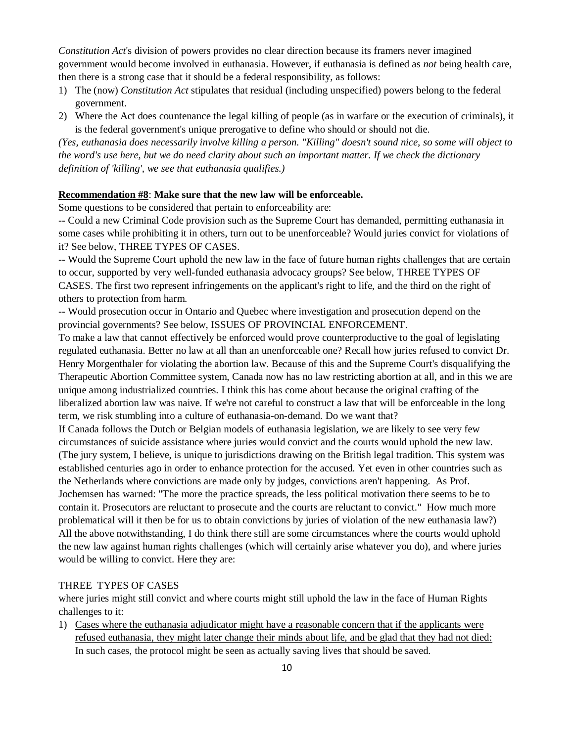*Constitution Act*'s division of powers provides no clear direction because its framers never imagined government would become involved in euthanasia. However, if euthanasia is defined as *not* being health care, then there is a strong case that it should be a federal responsibility, as follows:

- 1) The (now) *Constitution Act* stipulates that residual (including unspecified) powers belong to the federal government.
- 2) Where the Act does countenance the legal killing of people (as in warfare or the execution of criminals), it is the federal government's unique prerogative to define who should or should not die.

*(Yes, euthanasia does necessarily involve killing a person. "Killing" doesn't sound nice, so some will object to the word's use here, but we do need clarity about such an important matter. If we check the dictionary definition of 'killing', we see that euthanasia qualifies.)*

### **Recommendation #8**: **Make sure that the new law will be enforceable.**

Some questions to be considered that pertain to enforceability are:

-- Could a new Criminal Code provision such as the Supreme Court has demanded, permitting euthanasia in some cases while prohibiting it in others, turn out to be unenforceable? Would juries convict for violations of it? See below, THREE TYPES OF CASES.

-- Would the Supreme Court uphold the new law in the face of future human rights challenges that are certain to occur, supported by very well-funded euthanasia advocacy groups? See below, THREE TYPES OF CASES. The first two represent infringements on the applicant's right to life, and the third on the right of others to protection from harm.

-- Would prosecution occur in Ontario and Quebec where investigation and prosecution depend on the provincial governments? See below, ISSUES OF PROVINCIAL ENFORCEMENT.

To make a law that cannot effectively be enforced would prove counterproductive to the goal of legislating regulated euthanasia. Better no law at all than an unenforceable one? Recall how juries refused to convict Dr. Henry Morgenthaler for violating the abortion law. Because of this and the Supreme Court's disqualifying the Therapeutic Abortion Committee system, Canada now has no law restricting abortion at all, and in this we are unique among industrialized countries. I think this has come about because the original crafting of the liberalized abortion law was naive. If we're not careful to construct a law that will be enforceable in the long term, we risk stumbling into a culture of euthanasia-on-demand. Do we want that?

If Canada follows the Dutch or Belgian models of euthanasia legislation, we are likely to see very few circumstances of suicide assistance where juries would convict and the courts would uphold the new law. (The jury system, I believe, is unique to jurisdictions drawing on the British legal tradition. This system was established centuries ago in order to enhance protection for the accused. Yet even in other countries such as the Netherlands where convictions are made only by judges, convictions aren't happening. As Prof. Jochemsen has warned: "The more the practice spreads, the less political motivation there seems to be to contain it. Prosecutors are reluctant to prosecute and the courts are reluctant to convict." How much more problematical will it then be for us to obtain convictions by juries of violation of the new euthanasia law?) All the above notwithstanding, I do think there still are some circumstances where the courts would uphold the new law against human rights challenges (which will certainly arise whatever you do), and where juries

#### THREE TYPES OF CASES

would be willing to convict. Here they are:

where juries might still convict and where courts might still uphold the law in the face of Human Rights challenges to it:

1) Cases where the euthanasia adjudicator might have a reasonable concern that if the applicants were refused euthanasia, they might later change their minds about life, and be glad that they had not died: In such cases, the protocol might be seen as actually saving lives that should be saved.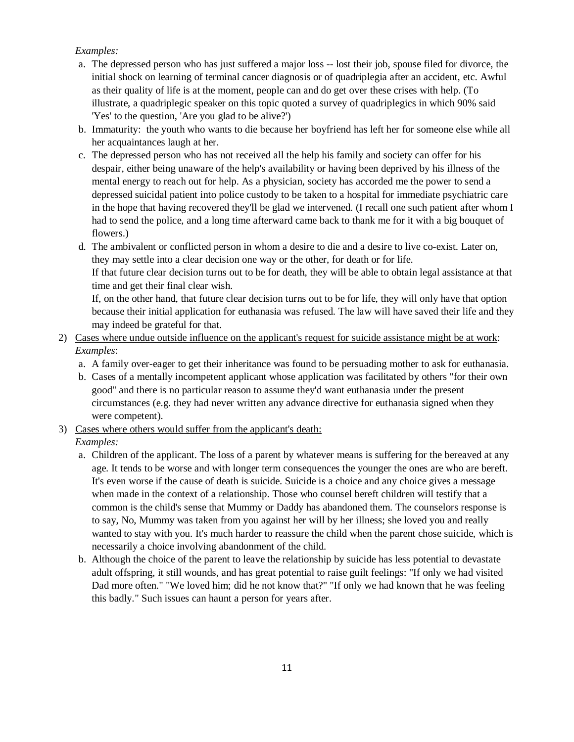### *Examples:*

- a. The depressed person who has just suffered a major loss -- lost their job, spouse filed for divorce, the initial shock on learning of terminal cancer diagnosis or of quadriplegia after an accident, etc. Awful as their quality of life is at the moment, people can and do get over these crises with help. (To illustrate, a quadriplegic speaker on this topic quoted a survey of quadriplegics in which 90% said 'Yes' to the question, 'Are you glad to be alive?')
- b. Immaturity: the youth who wants to die because her boyfriend has left her for someone else while all her acquaintances laugh at her.
- c. The depressed person who has not received all the help his family and society can offer for his despair, either being unaware of the help's availability or having been deprived by his illness of the mental energy to reach out for help. As a physician, society has accorded me the power to send a depressed suicidal patient into police custody to be taken to a hospital for immediate psychiatric care in the hope that having recovered they'll be glad we intervened. (I recall one such patient after whom I had to send the police, and a long time afterward came back to thank me for it with a big bouquet of flowers.)

d. The ambivalent or conflicted person in whom a desire to die and a desire to live co-exist. Later on, they may settle into a clear decision one way or the other, for death or for life.

If that future clear decision turns out to be for death, they will be able to obtain legal assistance at that time and get their final clear wish.

If, on the other hand, that future clear decision turns out to be for life, they will only have that option because their initial application for euthanasia was refused. The law will have saved their life and they may indeed be grateful for that.

2) Cases where undue outside influence on the applicant's request for suicide assistance might be at work: *Examples*:

- a. A family over-eager to get their inheritance was found to be persuading mother to ask for euthanasia.
- b. Cases of a mentally incompetent applicant whose application was facilitated by others "for their own good" and there is no particular reason to assume they'd want euthanasia under the present circumstances (e.g. they had never written any advance directive for euthanasia signed when they were competent).
- 3) Cases where others would suffer from the applicant's death:

*Examples:*

- a. Children of the applicant. The loss of a parent by whatever means is suffering for the bereaved at any age. It tends to be worse and with longer term consequences the younger the ones are who are bereft. It's even worse if the cause of death is suicide. Suicide is a choice and any choice gives a message when made in the context of a relationship. Those who counsel bereft children will testify that a common is the child's sense that Mummy or Daddy has abandoned them. The counselors response is to say, No, Mummy was taken from you against her will by her illness; she loved you and really wanted to stay with you. It's much harder to reassure the child when the parent chose suicide, which is necessarily a choice involving abandonment of the child.
- b. Although the choice of the parent to leave the relationship by suicide has less potential to devastate adult offspring, it still wounds, and has great potential to raise guilt feelings: "If only we had visited Dad more often." "We loved him; did he not know that?" "If only we had known that he was feeling this badly." Such issues can haunt a person for years after.